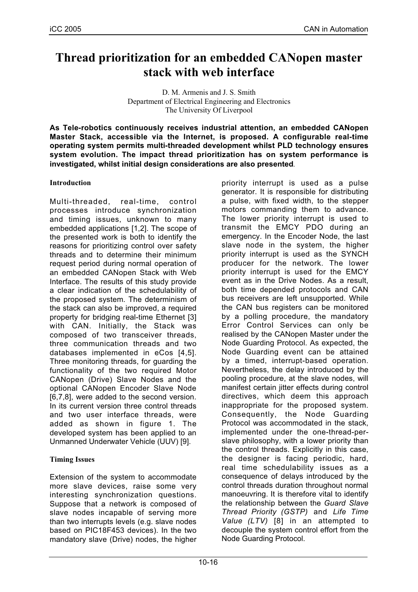# **Thread prioritization for an embedded CANopen master stack with web interface**

D. M. Armenis and J. S. Smith Department of Electrical Engineering and Electronics The University Of Liverpool

**As Tele-robotics continuously receives industrial attention, an embedded CANopen Master Stack, accessible via the Internet, is proposed. A configurable real-time operating system permits multi-threaded development whilst PLD technology ensures system evolution. The impact thread prioritization has on system performance is investigated, whilst initial design considerations are also presented***.*

## **Introduction**

Multi-threaded, real-time, control processes introduce synchronization and timing issues, unknown to many embedded applications [1,2]. The scope of the presented work is both to identify the reasons for prioritizing control over safety threads and to determine their minimum request period during normal operation of an embedded CANopen Stack with Web Interface. The results of this study provide a clear indication of the schedulability of the proposed system. The determinism of the stack can also be improved, a required property for bridging real-time Ethernet [3] with CAN. Initially, the Stack was composed of two transceiver threads, three communication threads and two databases implemented in eCos [4,5]. Three monitoring threads, for guarding the functionality of the two required Motor CANopen (Drive) Slave Nodes and the optional CANopen Encoder Slave Node [6,7,8], were added to the second version. In its current version three control threads and two user interface threads, were added as shown in figure 1. The developed system has been applied to an Unmanned Underwater Vehicle (UUV) [9].

## **Timing Issues**

Extension of the system to accommodate more slave devices, raise some very interesting synchronization questions. Suppose that a network is composed of slave nodes incapable of serving more than two interrupts levels (e.g. slave nodes based on PIC18F453 devices). In the two mandatory slave (Drive) nodes, the higher

priority interrupt is used as a pulse generator. It is responsible for distributing a pulse, with fixed width, to the stepper motors commanding them to advance. The lower priority interrupt is used to transmit the EMCY PDO during an emergency. In the Encoder Node, the last slave node in the system, the higher priority interrupt is used as the SYNCH producer for the network. The lower priority interrupt is used for the EMCY event as in the Drive Nodes. As a result, both time depended protocols and CAN bus receivers are left unsupported. While the CAN bus registers can be monitored by a polling procedure, the mandatory Error Control Services can only be realised by the CANopen Master under the Node Guarding Protocol. As expected, the Node Guarding event can be attained by a timed, interrupt-based operation. Nevertheless, the delay introduced by the pooling procedure, at the slave nodes, will manifest certain jitter effects during control directives, which deem this approach inappropriate for the proposed system. Consequently, the Node Guarding Protocol was accommodated in the stack, implemented under the one-thread-perslave philosophy, with a lower priority than the control threads. Explicitly in this case, the designer is facing periodic, hard, real time schedulability issues as a consequence of delays introduced by the control threads duration throughout normal manoeuvring. It is therefore vital to identify the relationship between the *Guard Slave Thread Priority (GSTP)* and *Life Time Value (LTV)* [8] in an attempted to decouple the system control effort from the Node Guarding Protocol.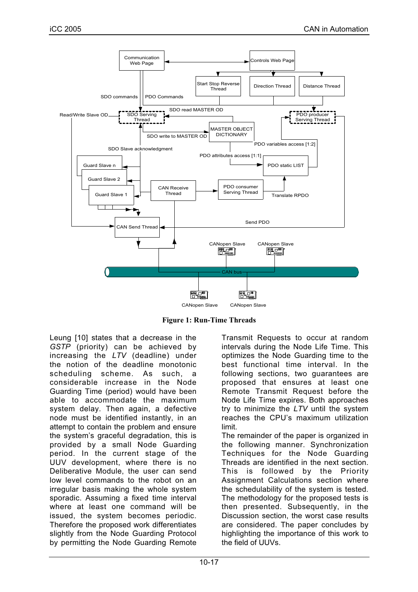

**Figure 1: Run-Time Threads**

Leung [10] states that a decrease in the *GSTP* (priority) can be achieved by increasing the *LTV* (deadline) under the notion of the deadline monotonic scheduling scheme. As such, a considerable increase in the Node Guarding Time (period) would have been able to accommodate the maximum system delay. Then again, a defective node must be identified instantly, in an attempt to contain the problem and ensure the system's graceful degradation, this is provided by a small Node Guarding period. In the current stage of the UUV development, where there is no Deliberative Module, the user can send low level commands to the robot on an irregular basis making the whole system sporadic. Assuming a fixed time interval where at least one command will be issued, the system becomes periodic. Therefore the proposed work differentiates slightly from the Node Guarding Protocol by permitting the Node Guarding Remote

Transmit Requests to occur at random intervals during the Node Life Time. This optimizes the Node Guarding time to the best functional time interval. In the following sections, two guarantees are proposed that ensures at least one Remote Transmit Request before the Node Life Time expires. Both approaches try to minimize the *LTV* until the system reaches the CPU's maximum utilization limit.

The remainder of the paper is organized in the following manner. Synchronization Techniques for the Node Guarding Threads are identified in the next section. This is followed by the Priority Assignment Calculations section where the schedulability of the system is tested. The methodology for the proposed tests is then presented. Subsequently, in the Discussion section, the worst case results are considered. The paper concludes by highlighting the importance of this work to the field of UUVs.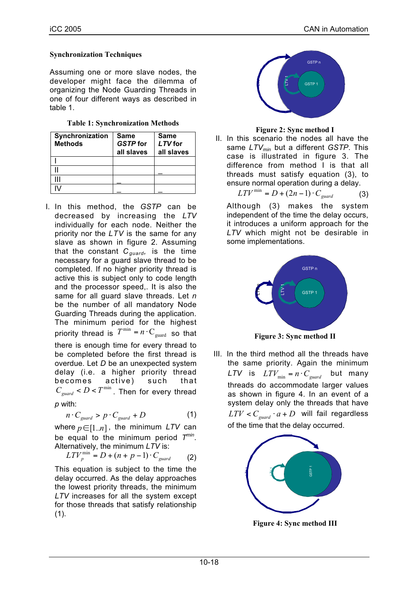#### **Synchronization Techniques**

Assuming one or more slave nodes, the developer might face the dilemma of organizing the Node Guarding Threads in one of four different ways as described in table 1.

|  |  | <b>Table 1: Synchronization Methods</b> |  |
|--|--|-----------------------------------------|--|
|--|--|-----------------------------------------|--|

| Synchronization<br><b>Methods</b> | <b>Same</b><br><b>GSTP</b> for<br>all slaves | <b>Same</b><br>LTV for<br>all slaves |
|-----------------------------------|----------------------------------------------|--------------------------------------|
|                                   |                                              |                                      |
|                                   |                                              |                                      |
|                                   |                                              |                                      |
|                                   |                                              |                                      |

I. In this method, the *GSTP* can be decreased by increasing the *LTV* individually for each node. Neither the priority nor the *LTV* is the same for any slave as shown in figure 2. Assuming that the constant  $C_{quard}$ , is the time necessary for a guard slave thread to be completed. If no higher priority thread is active this is subject only to code length and the processor speed,. It is also the same for all guard slave threads. Let *n* be the number of all mandatory Node Guarding Threads during the application. The minimum period for the highest priority thread is  $T^{\min}$  =  $n\cdot {\rm C}_{\rm guard}$  so that there is enough time for every thread to be completed before the first thread is overdue. Let *D* be an unexpected system delay (i.e. a higher priority thread becomes active) such that  $C_{\text{guard}} < D < T^{\text{min}}$ . Then for every thread *p* with:

$$
n \cdot C_{\textit{guard}} > p \cdot C_{\textit{guard}} + D \tag{1}
$$

where  $p \in [1..n]$ , the minimum *LTV* can be equal to the minimum period *Tmin*. Alternatively, the minimum *LTV* is:

$$
LTV_p^{\min} = D + (n + p - 1) \cdot C_{\text{guard}} \tag{2}
$$

This equation is subject to the time the delay occurred. As the delay approaches the lowest priority threads, the minimum *LTV* increases for all the system except for those threads that satisfy relationship  $(1).$ 



#### **Figure 2: Sync method I**

II. In this scenario the nodes all have the same *LTVmin* but a different *GSTP*. This case is illustrated in figure 3. The difference from method I is that all threads must satisfy equation (3), to ensure normal operation during a delay.

$$
LTV^{\min} = D + (2n - 1) \cdot C_{\text{guard}} \tag{3}
$$

Although (3) makes the system independent of the time the delay occurs, it introduces a uniform approach for the *LTV* which might not be desirable in some implementations.



**Figure 3: Sync method II**

III. In the third method all the threads have the same priority. Again the minimum *LTV* is  $LTV_{min} = n \cdot C_{quad}$  but many threads do accommodate larger values as shown in figure 4. In an event of a system delay only the threads that have  $LTV < C_{guard} \cdot a + D$  will fail regardless of the time that the delay occurred.



**Figure 4: Sync method III**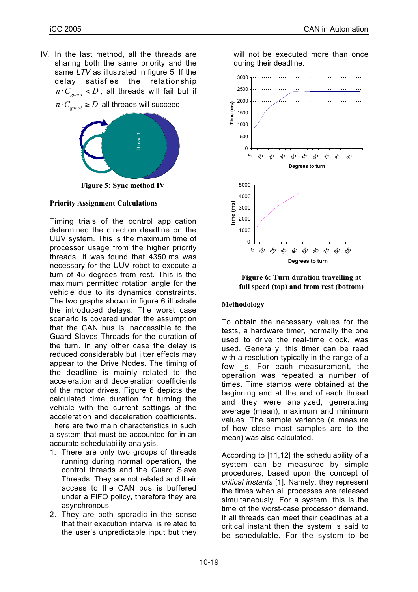IV. In the last method, all the threads are sharing both the same priority and the same *LTV* as illustrated in figure 5. If the delay satisfies the relationship  $n \cdot C_{\text{quad}} < D$ , all threads will fail but if  $n \cdot C_{\text{quad}} \geq D$  all threads will succeed.



**Figure 5: Sync method IV**

#### **Priority Assignment Calculations**

Timing trials of the control application determined the direction deadline on the UUV system. This is the maximum time of processor usage from the higher priority threads. It was found that 4350 ms was necessary for the UUV robot to execute a turn of 45 degrees from rest. This is the maximum permitted rotation angle for the vehicle due to its dynamics constraints. The two graphs shown in figure 6 illustrate the introduced delays. The worst case scenario is covered under the assumption that the CAN bus is inaccessible to the Guard Slaves Threads for the duration of the turn. In any other case the delay is reduced considerably but jitter effects may appear to the Drive Nodes. The timing of the deadline is mainly related to the acceleration and deceleration coefficients of the motor drives. Figure 6 depicts the calculated time duration for turning the vehicle with the current settings of the acceleration and deceleration coefficients. There are two main characteristics in such a system that must be accounted for in an accurate schedulability analysis.

- 1. There are only two groups of threads running during normal operation, the control threads and the Guard Slave Threads. They are not related and their access to the CAN bus is buffered under a FIFO policy, therefore they are asynchronous.
- 2. They are both sporadic in the sense that their execution interval is related to the user's unpredictable input but they



will not be executed more than once

**Figure 6: Turn duration travelling at full speed (top) and from rest (bottom)**

## **Methodology**

To obtain the necessary values for the tests, a hardware timer, normally the one used to drive the real-time clock, was used. Generally, this timer can be read with a resolution typically in the range of a few s. For each measurement, the operation was repeated a number of times. Time stamps were obtained at the beginning and at the end of each thread and they were analyzed, generating average (mean), maximum and minimum values. The sample variance (a measure of how close most samples are to the mean) was also calculated.

According to [11,12] the schedulability of a system can be measured by simple procedures, based upon the concept of *critical instants* [1]. Namely, they represent the times when all processes are released simultaneously. For a system, this is the time of the worst-case processor demand. If all threads can meet their deadlines at a critical instant then the system is said to be schedulable. For the system to be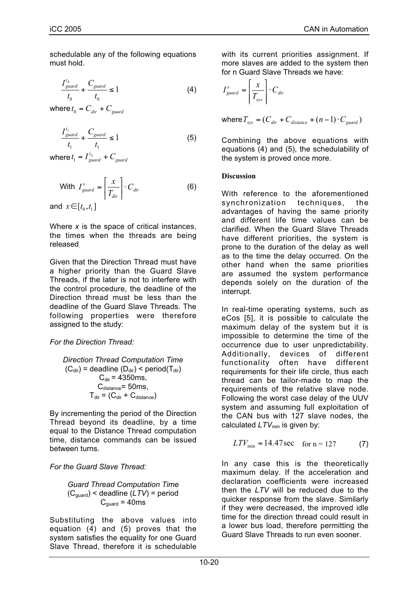schedulable any of the following equations must hold.

$$
\frac{I_{guard}^{t_0}}{t_0} + \frac{C_{guard}}{t_0} \le 1
$$
\n(4)

where  $t_0 = C_{dir} + C_{quad}$ 

$$
\frac{I_{guard}^{t_1}}{t_1} + \frac{C_{guard}}{t_1} \le 1
$$
 (5)

where  $t_1 = I_{\text{guard}}^{t_0} + C_{\text{guard}}$ 

With 
$$
I_{\text{guard}}^x = \left[ \frac{x}{T_{\text{dir}}} \right] \cdot C_{\text{dir}}
$$
 (6)

and  $x \in ]t_0, t_1]$ 

Where *x* is the space of critical instances, the times when the threads are being released.

Given that the Direction Thread must have a higher priority than the Guard Slave Threads, if the later is not to interfere with the control procedure, the deadline of the Direction thread must be less than the deadline of the Guard Slave Threads. The following properties were therefore assigned to the study:

## *For the Direction Thread:*

Direction Thread Computation Time

\n
$$
(C_{dir}) = \text{deadline} (D_{dir}) < \text{period}(T_{dir})
$$
\n
$$
C_{dir} = 4350 \text{ms},
$$
\n
$$
C_{distance} = 50 \text{ms},
$$
\n
$$
T_{dir} = (C_{dir} + C_{distance})
$$

By incrementing the period of the Direction Thread beyond its deadline, by a time equal to the Distance Thread computation time, distance commands can be issued between turns.

## *For the Guard Slave Thread:*

*Guard Thread Computation Time* (Cguard) < deadline (*LTV*) = period Cguard = 40ms

Substituting the above values into equation  $(4)$  and  $(5)$  proves that the system satisfies the equality for one Guard Slave Thread, therefore it is schedulable with its current priorities assignment. If more slaves are added to the system then for n Guard Slave Threads we have:

$$
I_{\textit{guard}}^x = \left[ \frac{x}{T_{\textit{sys}}} \right] \cdot C_{\textit{dir}}
$$

where 
$$
T_{sys} = (C_{dir} + C_{distance} + (n-1) \cdot C_{guard})
$$

Combining the above equations with equations (4) and (5), the schedulability of the system is proved once more.

#### **Discussion**

With reference to the aforementioned synchronization techniques, the advantages of having the same priority and different life time values can be clarified. When the Guard Slave Threads have different priorities, the system is prone to the duration of the delay as well as to the time the delay occurred. On the other hand when the same priorities are assumed the system performance depends solely on the duration of the interrupt.

In real-time operating systems, such as eCos [5], it is possible to calculate the maximum delay of the system but it is impossible to determine the time of the occurrence due to user unpredictability. Additionally, devices of different functionality often have different requirements for their life circle, thus each thread can be tailor-made to map the requirements of the relative slave node. Following the worst case delay of the UUV system and assuming full exploitation of the CAN bus with 127 slave nodes, the calculated  $LTV_{min}$  is given by:

$$
LTV_{\min} = 14.47 \sec \quad \text{for } n = 127
$$
 (7)

In any case this is the theoretically maximum delay. If the acceleration and declaration coefficients were increased then the *LTV* will be reduced due to the quicker response from the slave. Similarly if they were decreased, the improved idle time for the direction thread could result in a lower bus load, therefore permitting the Guard Slave Threads to run even sooner.